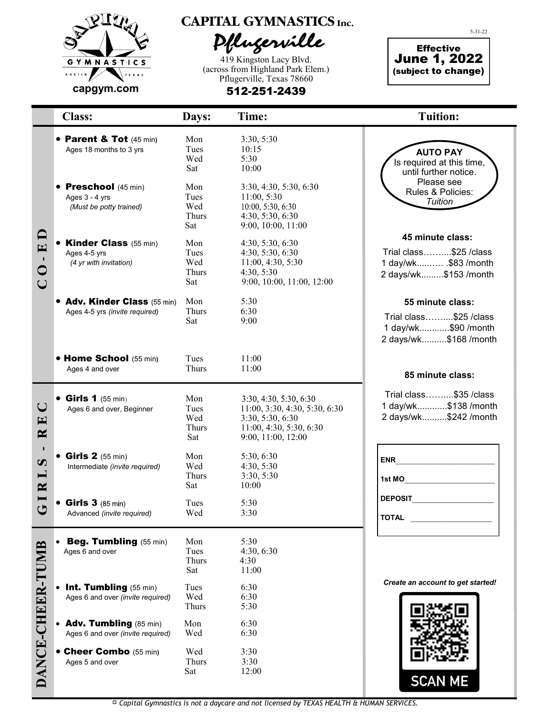

**CAPITAL GYMNASTICS Inc.** 

Pflugerville

419 Kingston Lacy Blvd. (across from Highland Park Elem.) Pflugerville, Texas 78660

512-251-2439

Effective June 1, 2022 (subject to change)

5-31-22

|                                                                                          | <b>Class:</b>                                                            | Days:                              | Time:                                                                                                                        | <b>Tuition:</b>                                                                              |
|------------------------------------------------------------------------------------------|--------------------------------------------------------------------------|------------------------------------|------------------------------------------------------------------------------------------------------------------------------|----------------------------------------------------------------------------------------------|
|                                                                                          | • Parent & Tot (45 min)<br>Ages 18 months to 3 yrs                       | Mon<br>Tues<br>Wed<br>Sat          | 3:30, 5:30<br>10:15<br>5:30<br>10:00                                                                                         | <b>AUTO PAY</b><br>Is required at this time,<br>until further notice.                        |
|                                                                                          | • Preschool (45 min)<br>Ages 3 - 4 yrs<br>(Must be potty trained)        | Mon<br>Tues<br>Wed<br>Thurs<br>Sat | 3:30, 4:30, 5:30, 6:30<br>11:00, 5:30<br>10:00, 5:30, 6:30<br>4:30, 5:30, 6:30<br>9:00, 10:00, 11:00                         | Please see<br>Rules & Policies:<br>Tuition                                                   |
| $\mathbf{\Omega}$<br>$\mathbf{E}$<br>$\mathbf{I}$<br>$\bigcirc$<br>$\cup$                | <b>Kinder Class</b> (55 min)<br>Ages 4-5 yrs<br>(4 yr with invitation)   | Mon<br>Tues<br>Wed<br>Thurs<br>Sat | 4:30, 5:30, 6:30<br>4:30, 5:30, 6:30<br>11:00, 4:30, 5:30<br>4:30, 5:30<br>9:00, 10:00, 11:00, 12:00                         | 45 minute class:<br>Trial class\$25 / class<br>1 day/wk \$83 /month<br>2 days/wk\$153 /month |
|                                                                                          | • Adv. Kinder Class (55 min)<br>Ages 4-5 yrs (invite required)           | Mon<br>Thurs<br>Sat                | 5:30<br>6:30<br>9:00                                                                                                         | 55 minute class:<br>Trial class\$25 / class<br>1 day/wk\$90 /month<br>2 days/wk\$168 /month  |
|                                                                                          | • Home School (55 min)<br>Ages 4 and over                                | Tues<br>Thurs                      | 11:00<br>11:00                                                                                                               | 85 minute class:                                                                             |
| $\bigcup$<br>E<br>$\mathbf{R}$                                                           | $\bullet$ Girls 1 (55 min)<br>Ages 6 and over, Beginner                  | Mon<br>Tues<br>Wed<br>Thurs<br>Sat | 3:30, 4:30, 5:30, 6:30<br>11:00, 3:30, 4:30, 5:30, 6:30<br>3:30, 5:30, 6:30<br>11:00, 4:30, 5:30, 6:30<br>9:00, 11:00, 12:00 | Trial class\$35 / class<br>1 day/wk\$138 /month<br>2 days/wk\$242 /month                     |
| л.<br>$\boldsymbol{\omega}$<br>$\mathbf{\mathbf{\mathbf{\mathbf{I}}}}$<br>$\mathbf{\Xi}$ | $\bullet$ Girls 2 (55 min)<br>Intermediate (invite required)             | Mon<br>Wed<br>Thurs<br>Sat         | 5:30, 6:30<br>4:30, 5:30<br>3:30, 5:30<br>10:00                                                                              | <b>ENR</b><br>1st MO                                                                         |
| $\mathbf C$                                                                              | <b>Girls 3</b> (85 min)<br>Advanced (invite required)                    | Tues<br>Wed                        | 5:30<br>3:30                                                                                                                 | <b>DEPOSIT</b><br><b>TOTAL</b>                                                               |
| DANCE-CHEER-TUMB                                                                         | Beg. Tumbling (55 min)<br>Ages 6 and over                                | Mon<br>Tues<br>Thurs<br>Sat        | 5:30<br>4:30, 6:30<br>4:30<br>11:00                                                                                          |                                                                                              |
|                                                                                          | Int. Tumbling (55 min)<br>Ages 6 and over (invite required)              | Tues<br>Wed<br>Thurs               | 6:30<br>6:30<br>5:30                                                                                                         | Create an account to get started!                                                            |
|                                                                                          | Adv. Tumbling (85 min)<br>$\bullet$<br>Ages 6 and over (invite required) | Mon<br>Wed                         | 6:30<br>6:30                                                                                                                 |                                                                                              |
|                                                                                          | • Cheer Combo (55 min)<br>Ages 5 and over                                | Wed<br>Thurs<br>Sat                | 3:30<br>3:30<br>12:00                                                                                                        | <b>SCAN ME</b>                                                                               |

► *Capital Gymnastics is not a daycare and not licensed by TEXAS HEALTH & HUMAN SERVICES.*